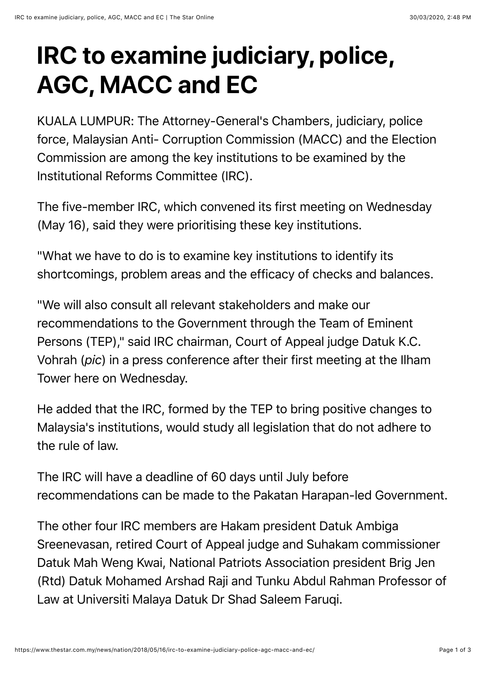## **IRC to examine judiciary, police, AGC, MACC and EC**

KUALA LUMPUR: The Attorney-General's Chambers, judiciary, police force, Malaysian Anti- Corruption Commission (MACC) and the Election Commission are among the key institutions to be examined by the Institutional Reforms Committee (IRC).

The five-member IRC, which convened its first meeting on Wednesday (May 16), said they were prioritising these key institutions.

"What we have to do is to examine key institutions to identify its shortcomings, problem areas and the efficacy of checks and balances.

"We will also consult all relevant stakeholders and make our recommendations to the Government through the Team of Eminent Persons (TEP)," said IRC chairman, Court of Appeal judge Datuk K.C. Vohrah (*pic*) in a press conference after their first meeting at the Ilham Tower here on Wednesday.

He added that the IRC, formed by the TEP to bring positive changes to Malaysia's institutions, would study all legislation that do not adhere to the rule of law.

The IRC will have a deadline of 60 days until July before recommendations can be made to the Pakatan Harapan-led Government.

The other four IRC members are Hakam president Datuk Ambiga Sreenevasan, retired Court of Appeal judge and Suhakam commissioner Datuk Mah Weng Kwai, National Patriots Association president Brig Jen (Rtd) Datuk Mohamed Arshad Raji and Tunku Abdul Rahman Professor of Law at Universiti Malaya Datuk Dr Shad Saleem Faruqi.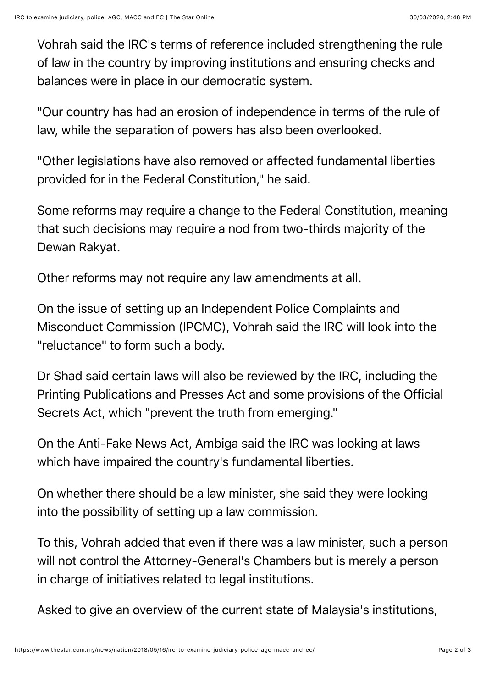Vohrah said the IRC's terms of reference included strengthening the rule of law in the country by improving institutions and ensuring checks and balances were in place in our democratic system.

"Our country has had an erosion of independence in terms of the rule of law, while the separation of powers has also been overlooked.

"Other legislations have also removed or affected fundamental liberties provided for in the Federal Constitution," he said.

Some reforms may require a change to the Federal Constitution, meaning that such decisions may require a nod from two-thirds majority of the Dewan Rakyat.

Other reforms may not require any law amendments at all.

On the issue of setting up an Independent Police Complaints and Misconduct Commission (IPCMC), Vohrah said the IRC will look into the "reluctance" to form such a body.

Dr Shad said certain laws will also be reviewed by the IRC, including the Printing Publications and Presses Act and some provisions of the Official Secrets Act, which "prevent the truth from emerging."

On the Anti-Fake News Act, Ambiga said the IRC was looking at laws which have impaired the country's fundamental liberties.

On whether there should be a law minister, she said they were looking into the possibility of setting up a law commission.

To this, Vohrah added that even if there was a law minister, such a person will not control the Attorney-General's Chambers but is merely a person in charge of initiatives related to legal institutions.

Asked to give an overview of the current state of Malaysia's institutions,